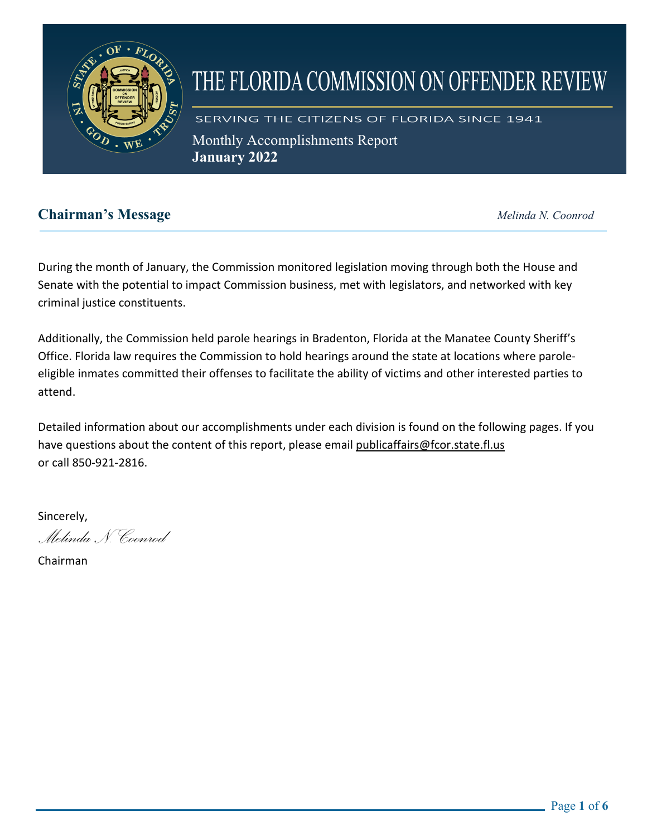

# THE FLORIDA COMMISSION ON OFFENDER REVIEW

SERVING THE CITIZENS OF FLORIDA SINCE 1941 Monthly Accomplishments Report

**January 2022** 

# **Chairman's Message** *Melinda N. Coonrod*

During the month of January, the Commission monitored legislation moving through both the House and Senate with the potential to impact Commission business, met with legislators, and networked with key criminal justice constituents.

Additionally, the Commission held parole hearings in Bradenton, Florida at the Manatee County Sheriff's Office. Florida law requires the Commission to hold hearings around the state at locations where paroleeligible inmates committed their offenses to facilitate the ability of victims and other interested parties to attend.

Detailed information about our accomplishments under each division is found on the following pages. If you have questions about the content of this report, please email [publicaffairs@fcor.state.fl.us](mailto:publicaffairs@fcor.state.fl.us) or call 850-921-2816.

Sincerely,

*Melinda N. Coonrod*

Chairman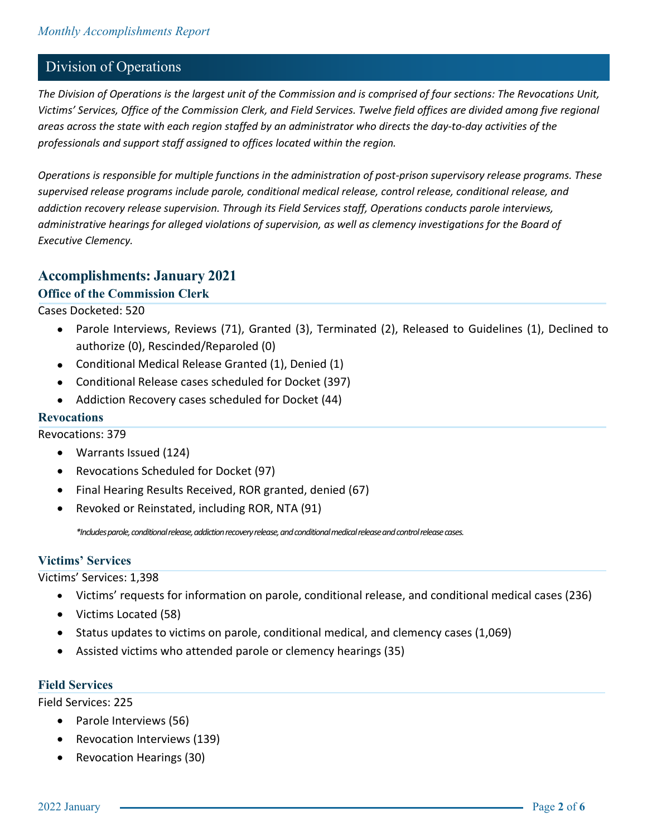## Division of Operations

*The Division of Operations is the largest unit of the Commission and is comprised of four sections: The Revocations Unit, Victims' Services, Office of the Commission Clerk, and Field Services. Twelve field offices are divided among five regional areas across the state with each region staffed by an administrator who directs the day-to-day activities of the professionals and support staff assigned to offices located within the region.*

*Operations is responsible for multiple functions in the administration of post-prison supervisory release programs. These supervised release programs include parole, conditional medical release, control release, conditional release, and addiction recovery release supervision. Through its Field Services staff, Operations conducts parole interviews, administrative hearings for alleged violations of supervision, as well as clemency investigations for the Board of Executive Clemency.*

## **Accomplishments: January 2021**

#### **Office of the Commission Clerk**

Cases Docketed: 520

- Parole Interviews, Reviews (71), Granted (3), Terminated (2), Released to Guidelines (1), Declined to authorize (0), Rescinded/Reparoled (0)
- Conditional Medical Release Granted (1), Denied (1)
- Conditional Release cases scheduled for Docket (397)
- Addiction Recovery cases scheduled for Docket (44)

#### **Revocations**

Revocations: 379

- Warrants Issued (124)
- Revocations Scheduled for Docket (97)
- Final Hearing Results Received, ROR granted, denied (67)
- Revoked or Reinstated, including ROR, NTA (91)

*\*Includes parole, conditional release, addiction recovery release, and conditional medical release and control release cases.*

#### **Victims' Services**

Victims' Services: 1,398

- Victims' requests for information on parole, conditional release, and conditional medical cases (236)
- Victims Located (58)
- Status updates to victims on parole, conditional medical, and clemency cases (1,069)
- Assisted victims who attended parole or clemency hearings (35)

#### **Field Services**

Field Services: 225

- Parole Interviews (56)
- Revocation Interviews (139)
- Revocation Hearings (30)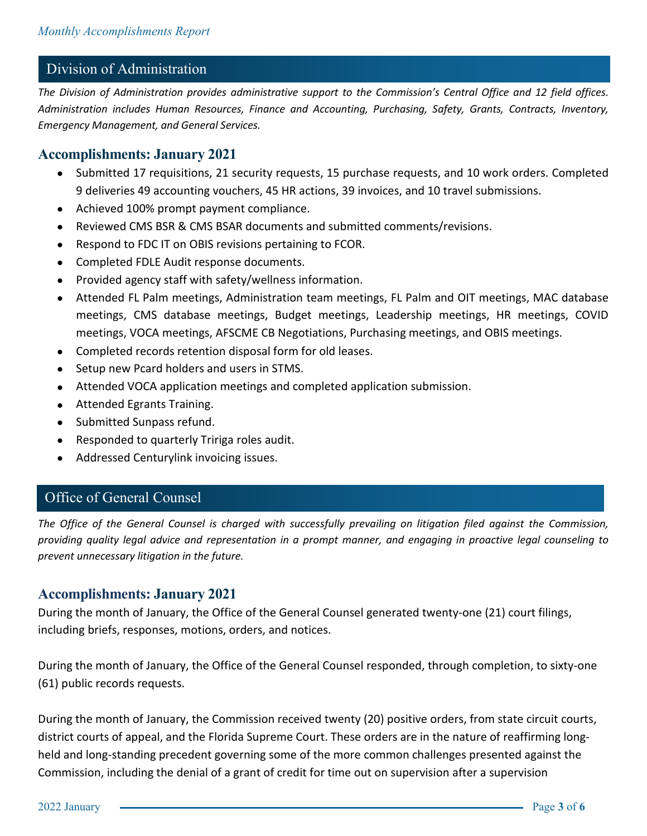## Division of Administration

*The Division of Administration provides administrative support to the Commission's Central Office and 12 field offices. Administration includes Human Resources, Finance and Accounting, Purchasing, Safety, Grants, Contracts, Inventory, Emergency Management, and General Services.* 

### **Accomplishments: January 2021**

- Submitted 17 requisitions, 21 security requests, 15 purchase requests, and 10 work orders. Completed 9 deliveries 49 accounting vouchers, 45 HR actions, 39 invoices, and 10 travel submissions.
- Achieved 100% prompt payment compliance.
- Reviewed CMS BSR & CMS BSAR documents and submitted comments/revisions.
- Respond to FDC IT on OBIS revisions pertaining to FCOR.
- Completed FDLE Audit response documents.
- Provided agency staff with safety/wellness information.
- Attended FL Palm meetings, Administration team meetings, FL Palm and OIT meetings, MAC database meetings, CMS database meetings, Budget meetings, Leadership meetings, HR meetings, COVID meetings, VOCA meetings, AFSCME CB Negotiations, Purchasing meetings, and OBIS meetings.
- Completed records retention disposal form for old leases.
- Setup new Pcard holders and users in STMS.
- Attended VOCA application meetings and completed application submission.
- Attended Egrants Training.
- Submitted Sunpass refund.
- Responded to quarterly Tririga roles audit.
- Addressed Centurylink invoicing issues.

## Office of General Counsel

*The Office of the General Counsel is charged with successfully prevailing on litigation filed against the Commission, providing quality legal advice and representation in a prompt manner, and engaging in proactive legal counseling to prevent unnecessary litigation in the future.*

#### **Accomplishments: January 2021**

During the month of January, the Office of the General Counsel generated twenty-one (21) court filings, including briefs, responses, motions, orders, and notices.

During the month of January, the Office of the General Counsel responded, through completion, to sixty-one (61) public records requests.

During the month of January, the Commission received twenty (20) positive orders, from state circuit courts, district courts of appeal, and the Florida Supreme Court. These orders are in the nature of reaffirming longheld and long-standing precedent governing some of the more common challenges presented against the Commission, including the denial of a grant of credit for time out on supervision after a supervision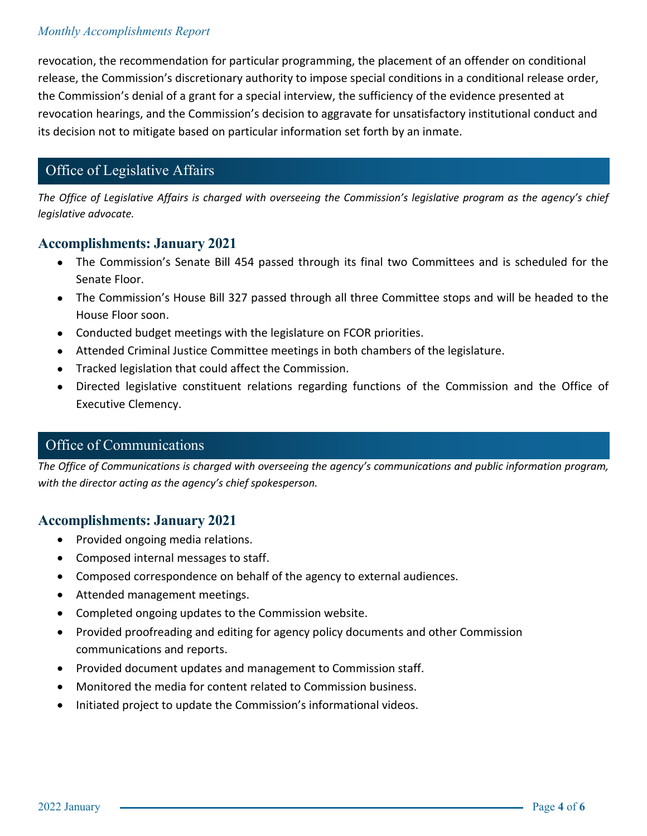#### *Monthly Accomplishments Report*

revocation, the recommendation for particular programming, the placement of an offender on conditional release, the Commission's discretionary authority to impose special conditions in a conditional release order, the Commission's denial of a grant for a special interview, the sufficiency of the evidence presented at revocation hearings, and the Commission's decision to aggravate for unsatisfactory institutional conduct and its decision not to mitigate based on particular information set forth by an inmate.

# Office of Legislative Affairs

*The Office of Legislative Affairs is charged with overseeing the Commission's legislative program as the agency's chief legislative advocate.* 

#### **Accomplishments: January 2021**

- The Commission's Senate Bill 454 passed through its final two Committees and is scheduled for the Senate Floor.
- The Commission's House Bill 327 passed through all three Committee stops and will be headed to the House Floor soon.
- Conducted budget meetings with the legislature on FCOR priorities.
- Attended Criminal Justice Committee meetings in both chambers of the legislature.
- Tracked legislation that could affect the Commission.
- Directed legislative constituent relations regarding functions of the Commission and the Office of Executive Clemency.

# **The Office of Communications is charged with overseeing the agency's communications and public informations and public informations and public informations and public informations and public information program.**

*The Office of Communications is charged with overseeing the agency's communications and public information program, with the director acting as the agency's chief spokesperson.*

## **Accomplishments: January 2021**

- Provided ongoing media relations.
- Composed internal messages to staff.
- Composed correspondence on behalf of the agency to external audiences.
- Attended management meetings.
- Completed ongoing updates to the Commission website.
- Provided proofreading and editing for agency policy documents and other Commission communications and reports.
- Provided document updates and management to Commission staff.
- Monitored the media for content related to Commission business.
- Initiated project to update the Commission's informational videos.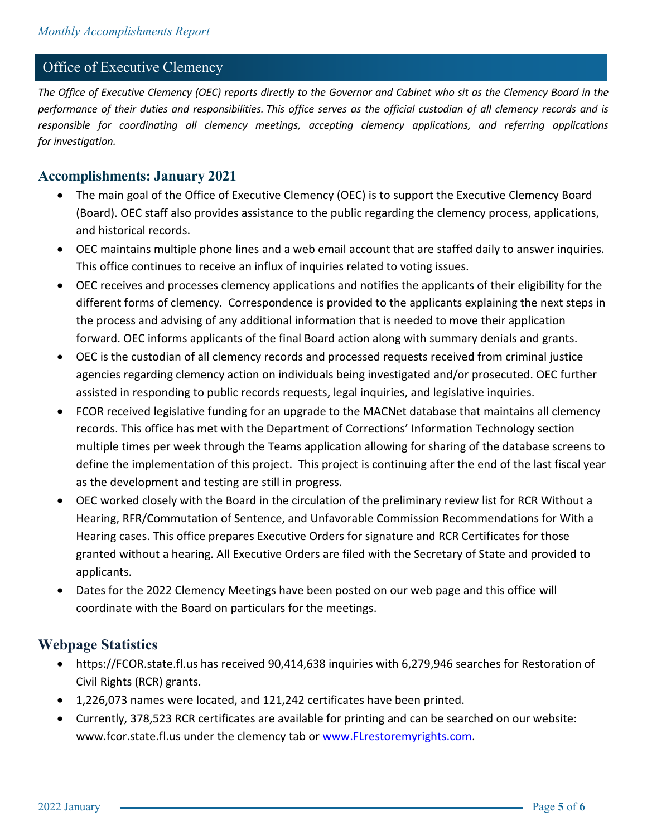#### Office of Executive Clemency

*The Office of Executive Clemency (OEC) reports directly to the Governor and Cabinet who sit as the Clemency Board in the performance of their duties and responsibilities. This office serves as the official custodian of all clemency records and is responsible for coordinating all clemency meetings, accepting clemency applications, and referring applications for investigation.*

#### **Accomplishments: January 2021**

- The main goal of the Office of Executive Clemency (OEC) is to support the Executive Clemency Board (Board). OEC staff also provides assistance to the public regarding the clemency process, applications, and historical records.
- OEC maintains multiple phone lines and a web email account that are staffed daily to answer inquiries. This office continues to receive an influx of inquiries related to voting issues.
- OEC receives and processes clemency applications and notifies the applicants of their eligibility for the different forms of clemency. Correspondence is provided to the applicants explaining the next steps in the process and advising of any additional information that is needed to move their application forward. OEC informs applicants of the final Board action along with summary denials and grants.
- OEC is the custodian of all clemency records and processed requests received from criminal justice agencies regarding clemency action on individuals being investigated and/or prosecuted. OEC further assisted in responding to public records requests, legal inquiries, and legislative inquiries.
- FCOR received legislative funding for an upgrade to the MACNet database that maintains all clemency records. This office has met with the Department of Corrections' Information Technology section multiple times per week through the Teams application allowing for sharing of the database screens to define the implementation of this project. This project is continuing after the end of the last fiscal year as the development and testing are still in progress.
- OEC worked closely with the Board in the circulation of the preliminary review list for RCR Without a Hearing, RFR/Commutation of Sentence, and Unfavorable Commission Recommendations for With a Hearing cases. This office prepares Executive Orders for signature and RCR Certificates for those granted without a hearing. All Executive Orders are filed with the Secretary of State and provided to applicants.
- Dates for the 2022 Clemency Meetings have been posted on our web page and this office will coordinate with the Board on particulars for the meetings.

#### **Webpage Statistics**

- https://FCOR.state.fl.us has received 90,414,638 inquiries with 6,279,946 searches for Restoration of Civil Rights (RCR) grants.
- 1,226,073 names were located, and 121,242 certificates have been printed.
- Currently, 378,523 RCR certificates are available for printing and can be searched on our website: www.fcor.state.fl.us under the clemency tab or [www.FLrestoremyrights.com.](http://www.flrestoremyrights.com/)